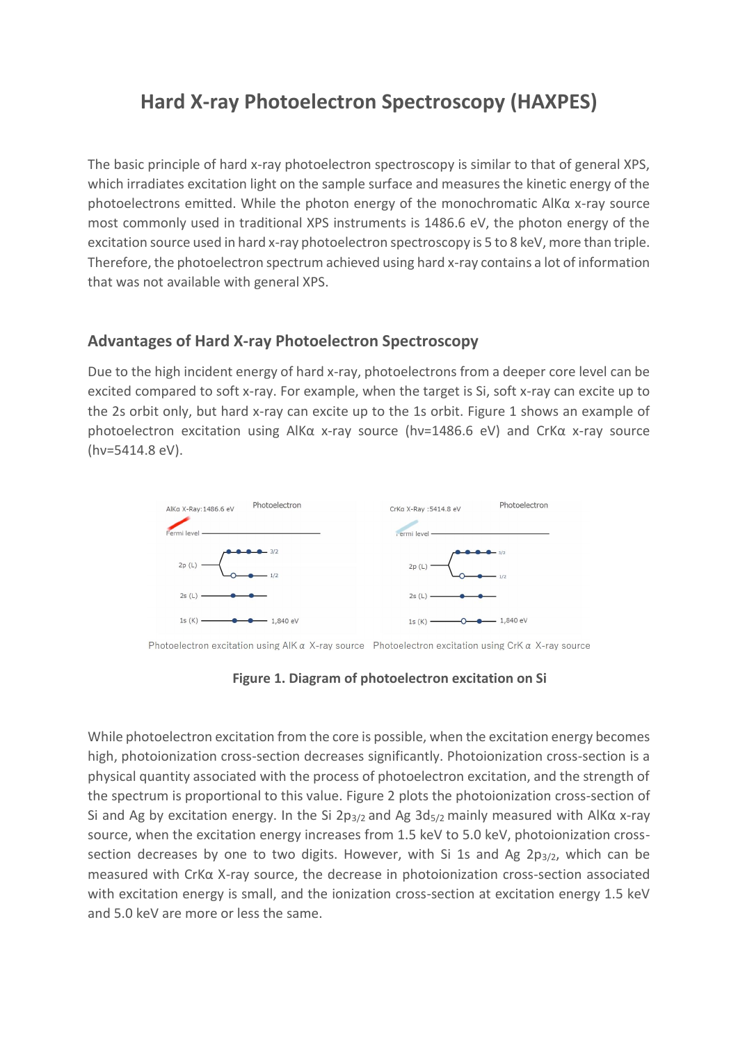## **Hard X-ray Photoelectron Spectroscopy (HAXPES)**

The basic principle of hard x-ray photoelectron spectroscopy is similar to that of general XPS, which irradiates excitation light on the sample surface and measures the kinetic energy of the photoelectrons emitted. While the photon energy of the monochromatic AlKα x-ray source most commonly used in traditional XPS instruments is 1486.6 eV, the photon energy of the excitation source used in hard x-ray photoelectron spectroscopy is 5 to 8 keV, more than triple. Therefore, the photoelectron spectrum achieved using hard x-ray contains a lot of information that was not available with general XPS.

## **Advantages of Hard X-ray Photoelectron Spectroscopy**

Due to the high incident energy of hard x-ray, photoelectrons from a deeper core level can be excited compared to soft x-ray. For example, when the target is Si, soft x-ray can excite up to the 2s orbit only, but hard x-ray can excite up to the 1s orbit. Figure 1 shows an example of photoelectron excitation using AlKα x-ray source (hν=1486.6 eV) and CrKα x-ray source (hν=5414.8 eV).



Photoelectron excitation using  $AIK \alpha$  X-ray source Photoelectron excitation using CrK  $\alpha$  X-ray source

 **Figure 1. Diagram of photoelectron excitation on Si**

While photoelectron excitation from the core is possible, when the excitation energy becomes high, photoionization cross-section decreases significantly. Photoionization cross-section is a physical quantity associated with the process of photoelectron excitation, and the strength of the spectrum is proportional to this value. Figure 2 plots the photoionization cross-section of Si and Ag by excitation energy. In the Si 2p<sub>3/2</sub> and Ag 3d<sub>5/2</sub> mainly measured with AlK $\alpha$  x-ray source, when the excitation energy increases from 1.5 keV to 5.0 keV, photoionization crosssection decreases by one to two digits. However, with Si 1s and Ag  $2p_{3/2}$ , which can be measured with CrKα X-ray source, the decrease in photoionization cross-section associated with excitation energy is small, and the ionization cross-section at excitation energy 1.5 keV and 5.0 keV are more or less the same.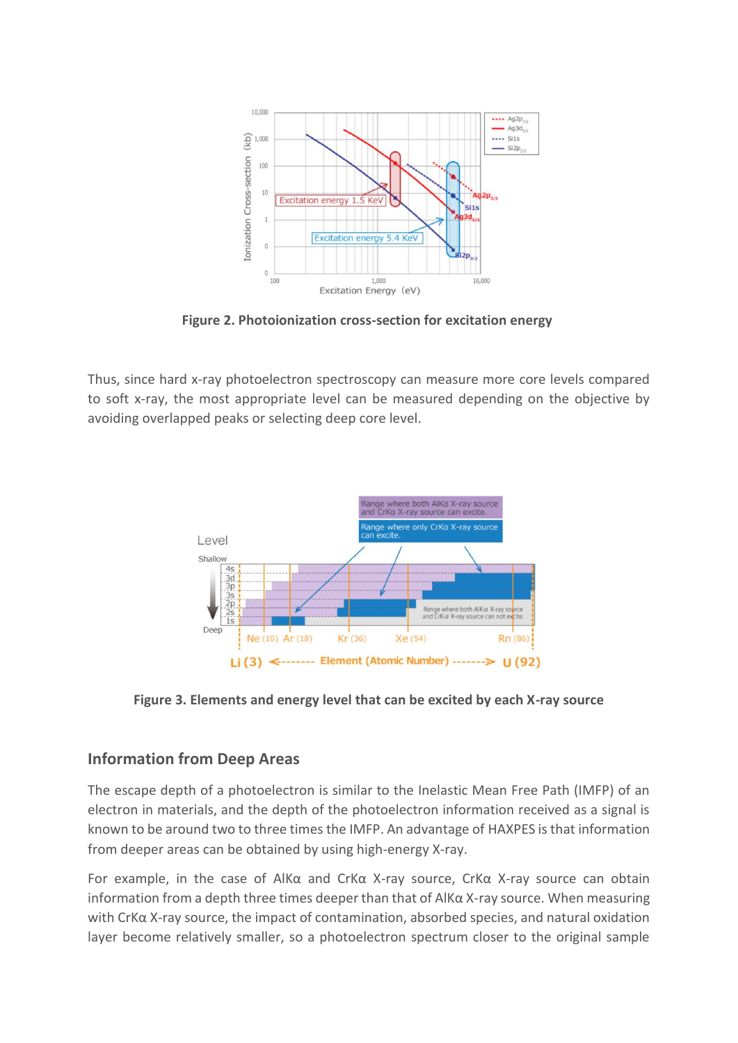

**Figure 2. Photoionization cross-section for excitation energy**

Thus, since hard x-ray photoelectron spectroscopy can measure more core levels compared to soft x-ray, the most appropriate level can be measured depending on the objective by avoiding overlapped peaks or selecting deep core level.



**Figure 3. Elements and energy level that can be excited by each X-ray source**

## **Information from Deep Areas**

The escape depth of a photoelectron is similar to the Inelastic Mean Free Path (IMFP) of an electron in materials, and the depth of the photoelectron information received as a signal is known to be around two to three times the IMFP. An advantage of HAXPES is that information from deeper areas can be obtained by using high-energy X-ray.

For example, in the case of AlKα and CrKα X-ray source, CrKα X-ray source can obtain information from a depth three times deeper than that of AlKα X-ray source. When measuring with CrKα X-ray source, the impact of contamination, absorbed species, and natural oxidation layer become relatively smaller, so a photoelectron spectrum closer to the original sample